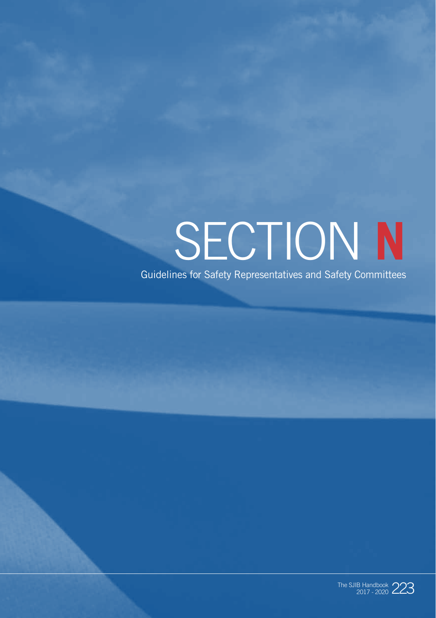# SECTION **N**

Guidelines for Safety Representatives and Safety Committees

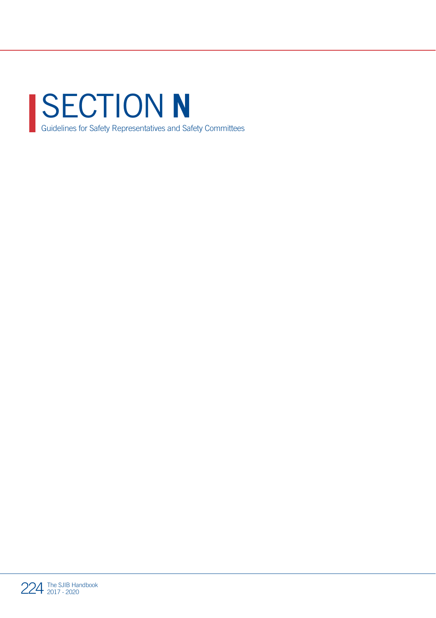

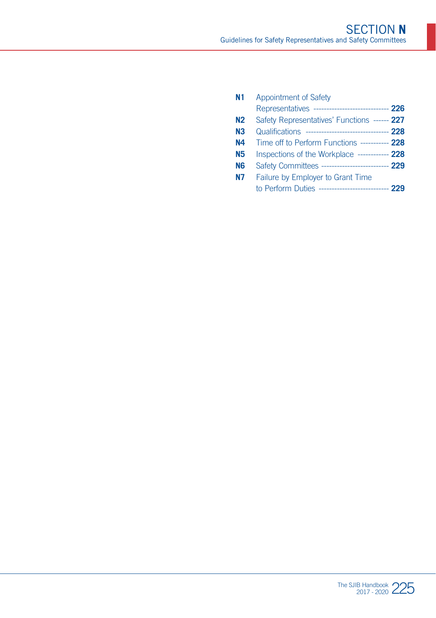| N <sub>1</sub> | Appointment of Safety                                |  |
|----------------|------------------------------------------------------|--|
|                | Representatives ----------------------------- 226    |  |
| N <sub>2</sub> | Safety Representatives' Functions ------ 227         |  |
| N <sub>3</sub> | Qualifications --------------------------------- 228 |  |
| N4             | Time off to Perform Functions ----------- 228        |  |
| <b>N5</b>      | Inspections of the Workplace ------------ 228        |  |
| N <sub>6</sub> | Safety Committees -------------------------- 229     |  |
| N7             | Failure by Employer to Grant Time                    |  |
|                | to Perform Duties --------------------------- 229    |  |
|                |                                                      |  |

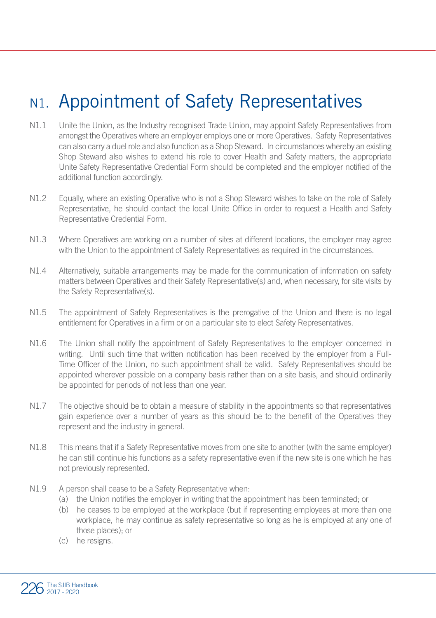## N<sub>1</sub>. Appointment of Safety Representatives

- N1.1 Unite the Union, as the Industry recognised Trade Union, may appoint Safety Representatives from amongst the Operatives where an employer employs one or more Operatives. Safety Representatives can also carry a duel role and also function as a Shop Steward. In circumstances whereby an existing Shop Steward also wishes to extend his role to cover Health and Safety matters, the appropriate Unite Safety Representative Credential Form should be completed and the employer notified of the additional function accordingly.
- N1.2 Equally, where an existing Operative who is not a Shop Steward wishes to take on the role of Safety Representative, he should contact the local Unite Office in order to request a Health and Safety Representative Credential Form.
- N1.3 Where Operatives are working on a number of sites at different locations, the employer may agree with the Union to the appointment of Safety Representatives as required in the circumstances.
- N1.4 Alternatively, suitable arrangements may be made for the communication of information on safety matters between Operatives and their Safety Representative(s) and, when necessary, for site visits by the Safety Representative(s).
- N1.5 The appointment of Safety Representatives is the prerogative of the Union and there is no legal entitlement for Operatives in a firm or on a particular site to elect Safety Representatives.
- N1.6 The Union shall notify the appointment of Safety Representatives to the employer concerned in writing. Until such time that written notification has been received by the employer from a Full-Time Officer of the Union, no such appointment shall be valid. Safety Representatives should be appointed wherever possible on a company basis rather than on a site basis, and should ordinarily be appointed for periods of not less than one year.
- N1.7 The objective should be to obtain a measure of stability in the appointments so that representatives gain experience over a number of years as this should be to the benefit of the Operatives they represent and the industry in general.
- N1.8 This means that if a Safety Representative moves from one site to another (with the same employer) he can still continue his functions as a safety representative even if the new site is one which he has not previously represented.
- N1.9 A person shall cease to be a Safety Representative when:
	- (a) the Union notifies the employer in writing that the appointment has been terminated; or
	- (b) he ceases to be employed at the workplace (but if representing employees at more than one workplace, he may continue as safety representative so long as he is employed at any one of those places); or
	- (c) he resigns.

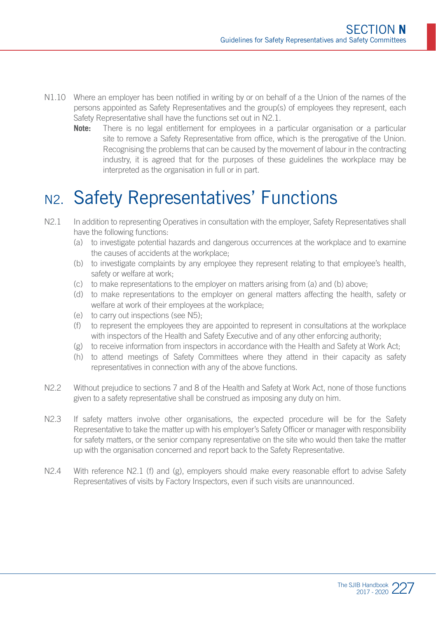- N1.10 Where an employer has been notified in writing by or on behalf of a the Union of the names of the persons appointed as Safety Representatives and the group(s) of employees they represent, each Safety Representative shall have the functions set out in N2.1.
	- **Note:** There is no legal entitlement for employees in a particular organisation or a particular site to remove a Safety Representative from office, which is the prerogative of the Union. Recognising the problems that can be caused by the movement of labour in the contracting industry, it is agreed that for the purposes of these guidelines the workplace may be interpreted as the organisation in full or in part.

### N2. Safety Representatives' Functions

- N2.1 In addition to representing Operatives in consultation with the employer. Safety Representatives shall have the following functions:
	- (a) to investigate potential hazards and dangerous occurrences at the workplace and to examine the causes of accidents at the workplace;
	- (b) to investigate complaints by any employee they represent relating to that employee's health, safety or welfare at work.
	- (c) to make representations to the employer on matters arising from (a) and (b) above;
	- (d) to make representations to the employer on general matters affecting the health, safety or welfare at work of their employees at the workplace;
	- (e) to carry out inspections (see N5);
	- (f) to represent the employees they are appointed to represent in consultations at the workplace with inspectors of the Health and Safety Executive and of any other enforcing authority:
	- (g) to receive information from inspectors in accordance with the Health and Safety at Work Act;
	- (h) to attend meetings of Safety Committees where they attend in their capacity as safety representatives in connection with any of the above functions.
- N2.2 Without prejudice to sections 7 and 8 of the Health and Safety at Work Act, none of those functions given to a safety representative shall be construed as imposing any duty on him.
- N2.3 If safety matters involve other organisations, the expected procedure will be for the Safety Representative to take the matter up with his employer's Safety Officer or manager with responsibility for safety matters, or the senior company representative on the site who would then take the matter up with the organisation concerned and report back to the Safety Representative.
- N2.4 With reference N2.1 (f) and (g), employers should make every reasonable effort to advise Safety Representatives of visits by Factory Inspectors, even if such visits are unannounced.

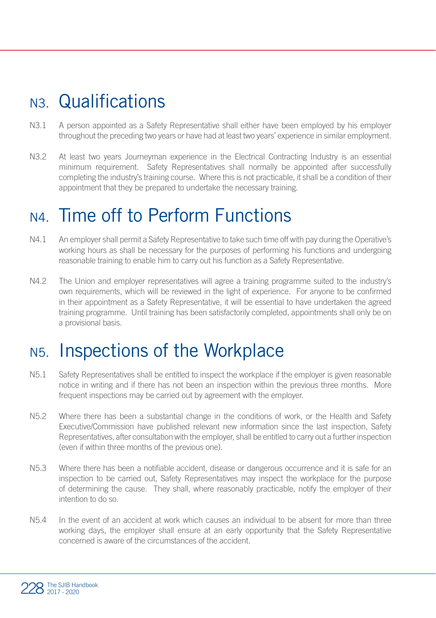#### N3. Qualifications

- N3.1 A person appointed as a Safety Representative shall either have been employed by his employer throughout the preceding two years or have had at least two years' experience in similar employment.
- N3.2 At least two years Journeyman experience in the Electrical Contracting Industry is an essential minimum requirement. Safety Representatives shall normally be appointed after successfully completing the industry's training course. Where this is not practicable, it shall be a condition of their appointment that they be prepared to undertake the necessary training.

#### N4. Time off to Perform Functions

- N4.1 An employer shall permit a Safety Representative to take such time off with pay during the Operative's working hours as shall be necessary for the purposes of performing his functions and undergoing reasonable training to enable him to carry out his function as a Safety Representative.
- N4.2 The Union and employer representatives will agree a training programme suited to the industry's own requirements, which will be reviewed in the light of experience. For anyone to be confirmed in their appointment as a Safety Representative, it will be essential to have undertaken the agreed training programme. Until training has been satisfactorily completed, appointments shall only be on a provisional basis.

#### N5. Inspections of the Workplace

- N5.1 Safety Representatives shall be entitled to inspect the workplace if the employer is given reasonable notice in writing and if there has not been an inspection within the previous three months. More frequent inspections may be carried out by agreement with the employer.
- N5.2 Where there has been a substantial change in the conditions of work, or the Health and Safety Executive/Commission have published relevant new information since the last inspection, Safety Representatives, after consultation with the employer, shall be entitled to carry out a further inspection (even if within three months of the previous one).
- N5.3 Where there has been a notifiable accident, disease or dangerous occurrence and it is safe for an inspection to be carried out, Safety Representatives may inspect the workplace for the purpose of determining the cause. They shall, where reasonably practicable, notify the employer of their intention to do so.
- N5.4 In the event of an accident at work which causes an individual to be absent for more than three working days, the employer shall ensure at an early opportunity that the Safety Representative concerned is aware of the circumstances of the accident.

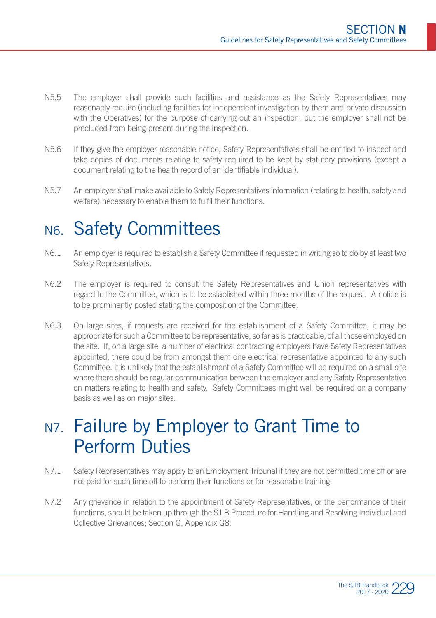- N5.5 The employer shall provide such facilities and assistance as the Safety Representatives may reasonably require (including facilities for independent investigation by them and private discussion with the Operatives) for the purpose of carrying out an inspection, but the employer shall not be precluded from being present during the inspection.
- N5.6 If they give the employer reasonable notice, Safety Representatives shall be entitled to inspect and take copies of documents relating to safety required to be kept by statutory provisions (except a document relating to the health record of an identifiable individual).
- N5.7 An employer shall make available to Safety Representatives information (relating to health, safety and welfare) necessary to enable them to fulfil their functions.

#### N6. Safety Committees

- N6.1 An employer is required to establish a Safety Committee if requested in writing so to do by at least two Safety Representatives.
- N6.2 The employer is required to consult the Safety Representatives and Union representatives with regard to the Committee, which is to be established within three months of the request. A notice is to be prominently posted stating the composition of the Committee.
- N6.3 On large sites, if requests are received for the establishment of a Safety Committee, it may be appropriate for such a Committee to be representative, so far as is practicable, of all those employed on the site. If, on a large site, a number of electrical contracting employers have Safety Representatives appointed, there could be from amongst them one electrical representative appointed to any such Committee. It is unlikely that the establishment of a Safety Committee will be required on a small site where there should be regular communication between the employer and any Safety Representative on matters relating to health and safety. Safety Committees might well be required on a company basis as well as on major sites.

#### N<sub>7</sub>. Failure by Employer to Grant Time to Perform Duties

- N7.1 Safety Representatives may apply to an Employment Tribunal if they are not permitted time off or are not paid for such time off to perform their functions or for reasonable training.
- N7.2 Any grievance in relation to the appointment of Safety Representatives, or the performance of their functions, should be taken up through the SJIB Procedure for Handling and Resolving Individual and Collective Grievances; Section G, Appendix G8.